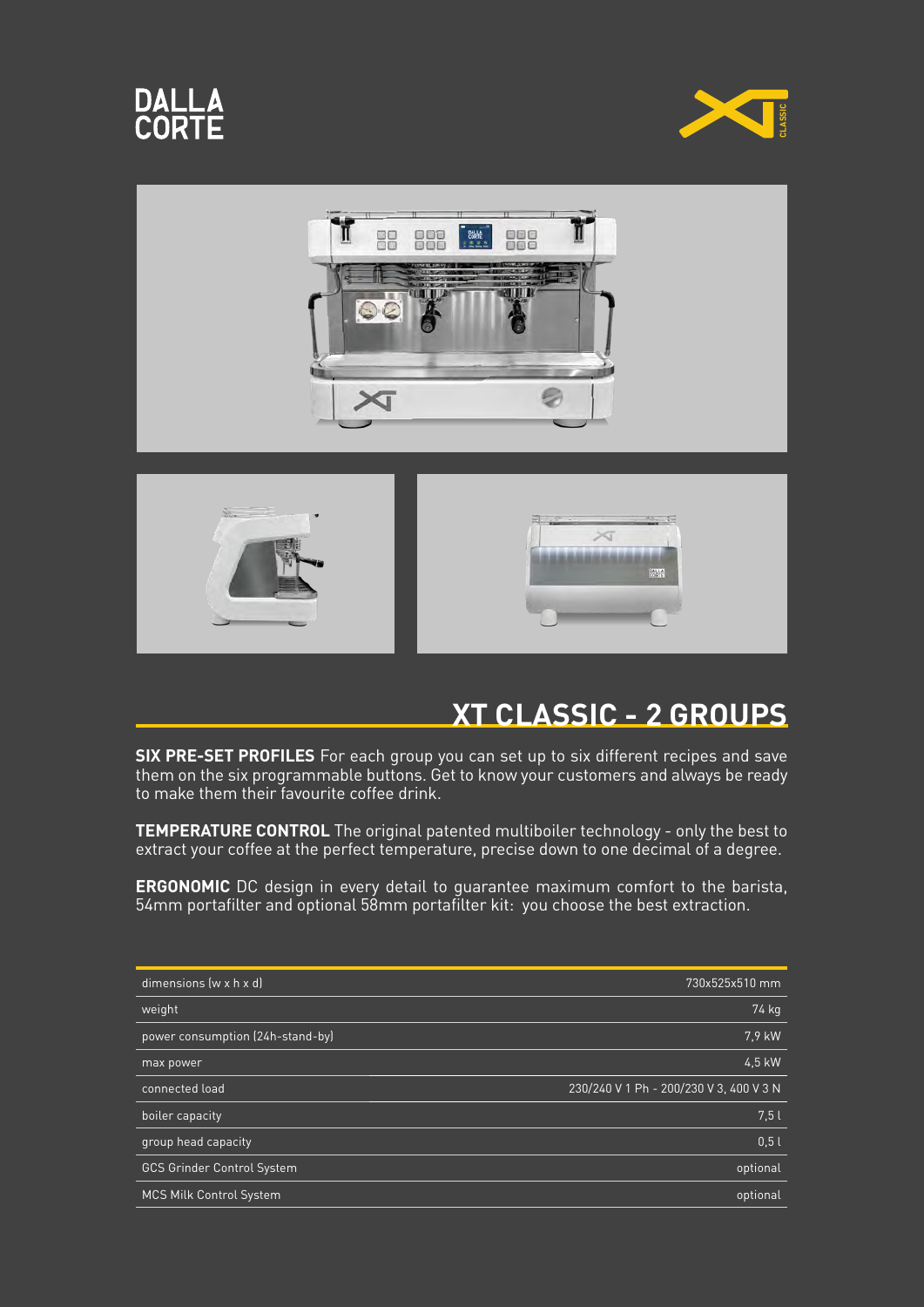









## **XT CLASSIC - 2 GROUPS**

**SIX PRE-SET PROFILES** For each group you can set up to six different recipes and save them on the six programmable buttons. Get to know your customers and always be ready to make them their favourite coffee drink.

**TEMPERATURE CONTROL** The original patented multiboiler technology - only the best to extract your coffee at the perfect temperature, precise down to one decimal of a degree.

**ERGONOMIC** DC design in every detail to guarantee maximum comfort to the barista, 54mm portafilter and optional 58mm portafilter kit: you choose the best extraction.

| dimensions (w x h x d)            | 730x525x510 mm                          |
|-----------------------------------|-----------------------------------------|
| weight                            | 74 kg                                   |
| power consumption (24h-stand-by)  | 7.9 kW                                  |
| max power                         | 4.5 kW                                  |
| connected load                    | 230/240 V 1 Ph - 200/230 V 3, 400 V 3 N |
| boiler capacity                   | 7.5l                                    |
| group head capacity               | 0.51                                    |
| <b>GCS Grinder Control System</b> | optional                                |
| <b>MCS Milk Control System</b>    | optional                                |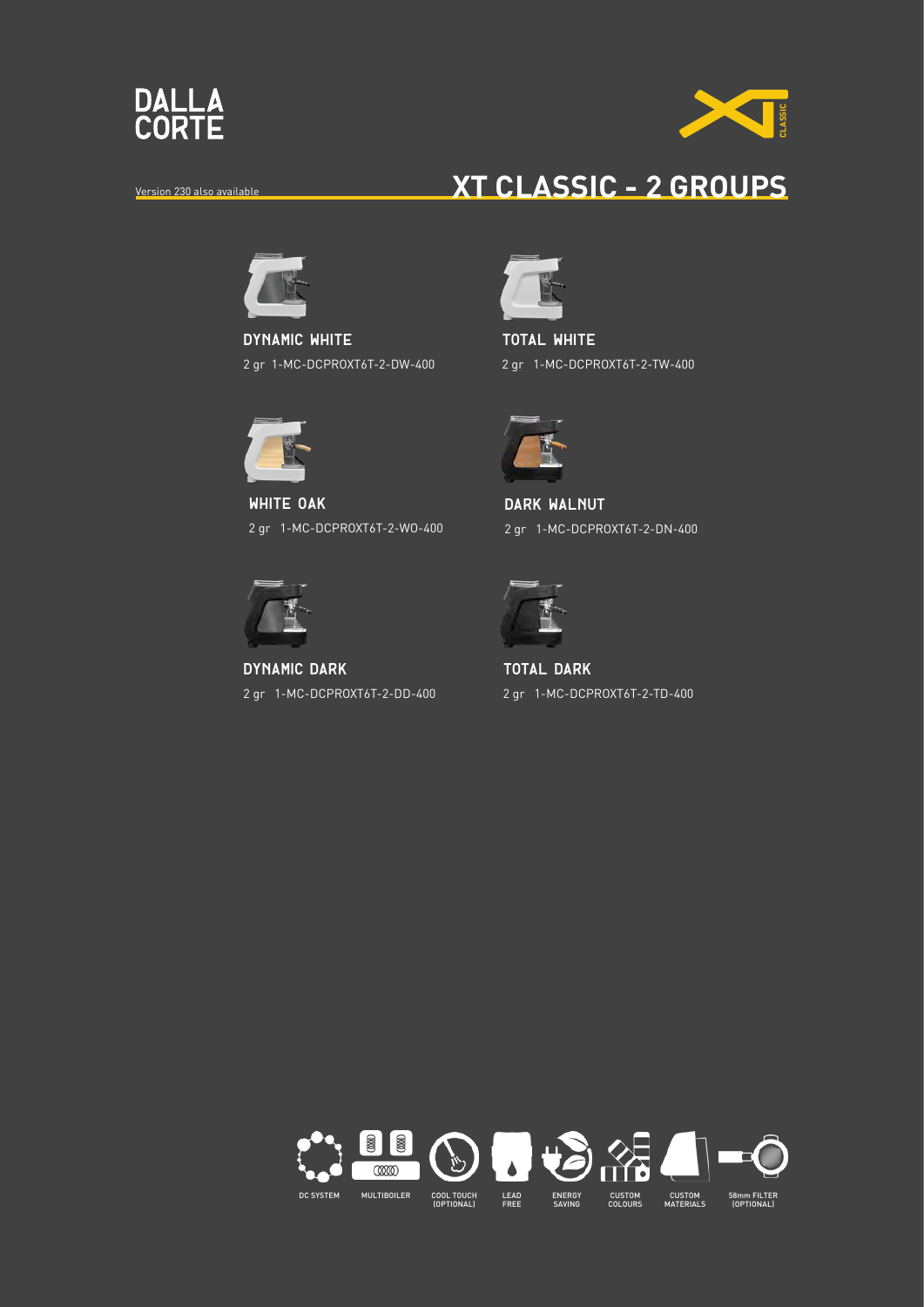



## Version 230 also available **XT CLASSIC - 2 GROUPS**



**dynamic WHITE** 2 gr 1-MC-DCPROXT6T-2-DW-400



**white OAK** 2 gr 1-MC-DCPROXT6T-2-WO-400



**dynamic dark** 2 gr 1-MC-DCPROXT6T-2-DD-400



**total white** 2 gr 1-MC-DCPROXT6T-2-TW-400



**DARK WALNUT** 2 gr 1-MC-DCPROXT6T-2-DN-400



**total dark** 2 gr 1-MC-DCPROXT6T-2-TD-400

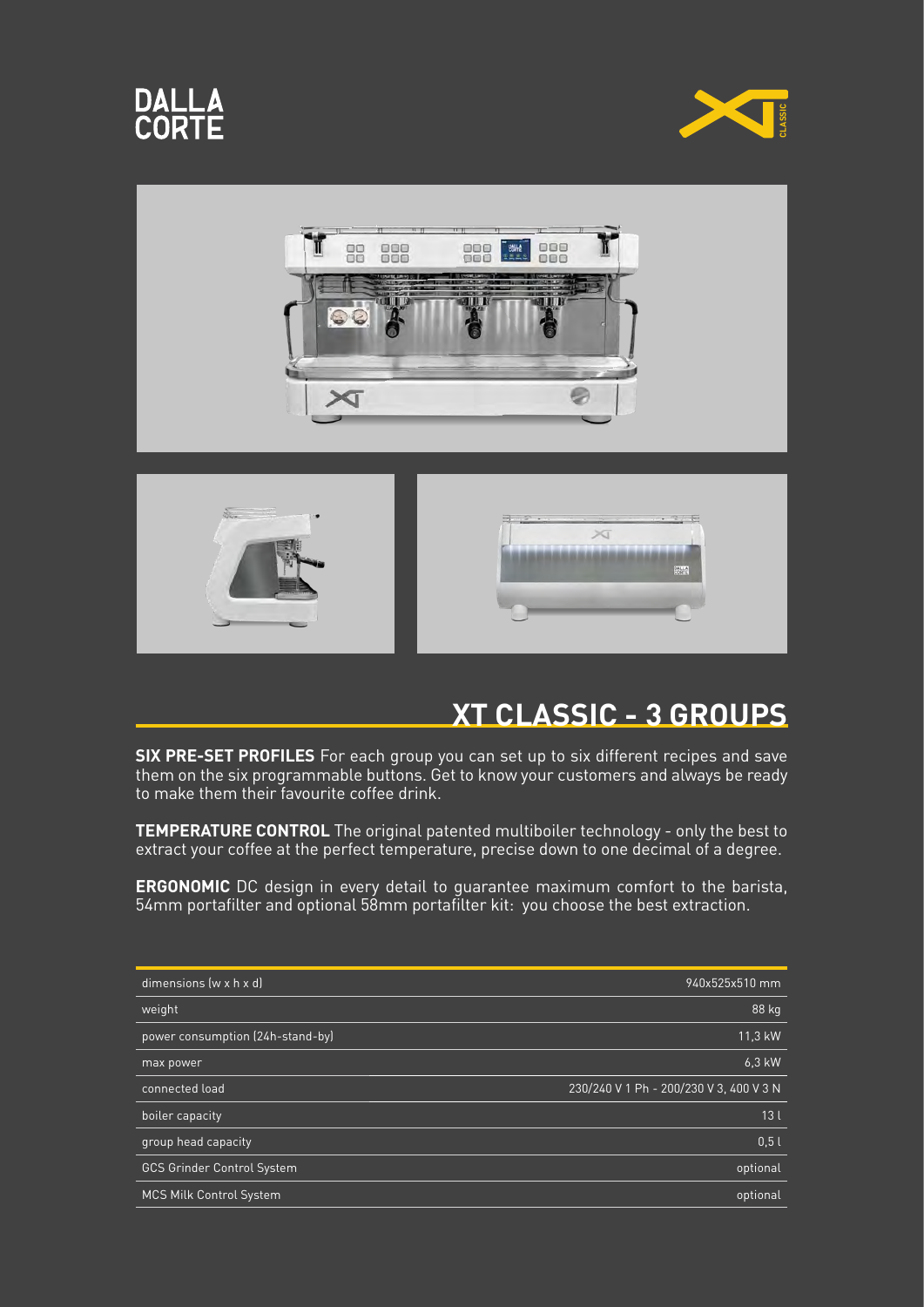









## **XT CLASSIC - 3 GROUPS**

**SIX PRE-SET PROFILES** For each group you can set up to six different recipes and save them on the six programmable buttons. Get to know your customers and always be ready to make them their favourite coffee drink.

**TEMPERATURE CONTROL** The original patented multiboiler technology - only the best to extract your coffee at the perfect temperature, precise down to one decimal of a degree.

**ERGONOMIC** DC design in every detail to guarantee maximum comfort to the barista, 54mm portafilter and optional 58mm portafilter kit: you choose the best extraction.

| dimensions $(w \times h \times d)$ | 940x525x510 mm                          |
|------------------------------------|-----------------------------------------|
| weight                             | $88$ $kg$                               |
| power consumption (24h-stand-by)   | 11,3 kW                                 |
| max power                          | 6.3 kW                                  |
| connected load                     | 230/240 V 1 Ph - 200/230 V 3, 400 V 3 N |
| boiler capacity                    | 13 <sub>l</sub>                         |
| group head capacity                | 0.51                                    |
| <b>GCS Grinder Control System</b>  | optional                                |
| <b>MCS Milk Control System</b>     | optional                                |